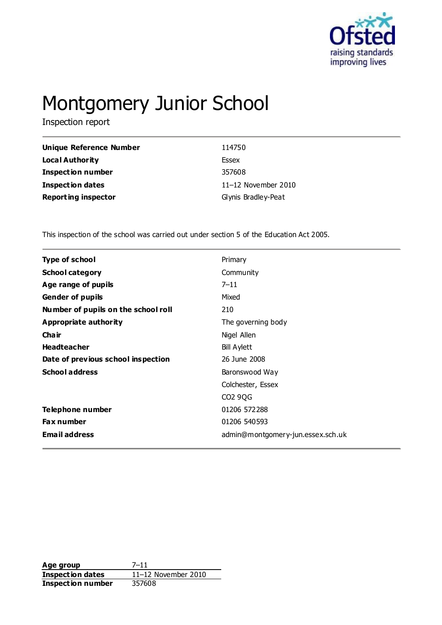

# Montgomery Junior School

Inspection report

| Unique Reference Number    | 114750              |
|----------------------------|---------------------|
| Local Authority            | Essex               |
| <b>Inspection number</b>   | 357608              |
| Inspection dates           | 11-12 November 2010 |
| <b>Reporting inspector</b> | Glynis Bradley-Peat |

This inspection of the school was carried out under section 5 of the Education Act 2005.

| <b>Type of school</b>               | Primary                           |
|-------------------------------------|-----------------------------------|
| <b>School category</b>              | Community                         |
| Age range of pupils                 | $7 - 11$                          |
| <b>Gender of pupils</b>             | Mixed                             |
| Number of pupils on the school roll | 210                               |
| <b>Appropriate authority</b>        | The governing body                |
| Cha ir                              | Nigel Allen                       |
| <b>Headteacher</b>                  | <b>Bill Aylett</b>                |
| Date of previous school inspection  | 26 June 2008                      |
| <b>School address</b>               | Baronswood Way                    |
|                                     | Colchester, Essex                 |
|                                     | CO2 9QG                           |
| Telephone number                    | 01206 572288                      |
| <b>Fax number</b>                   | 01206 540593                      |
| <b>Email address</b>                | admin@montgomery-jun.essex.sch.uk |
|                                     |                                   |

**Age group** 7–11 **Inspection dates** 11–12 November 2010 **Inspection number** 357608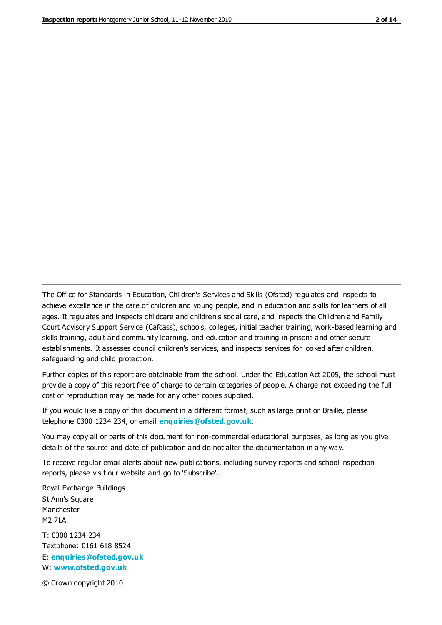The Office for Standards in Education, Children's Services and Skills (Ofsted) regulates and inspects to achieve excellence in the care of children and young people, and in education and skills for learners of all ages. It regulates and inspects childcare and children's social care, and inspects the Children and Family Court Advisory Support Service (Cafcass), schools, colleges, initial teacher training, work-based learning and skills training, adult and community learning, and education and training in prisons and other secure establishments. It assesses council children's services, and inspects services for looked after children, safeguarding and child protection.

Further copies of this report are obtainable from the school. Under the Education Act 2005, the school must provide a copy of this report free of charge to certain categories of people. A charge not exceeding the full cost of reproduction may be made for any other copies supplied.

If you would like a copy of this document in a different format, such as large print or Braille, please telephone 0300 1234 234, or email **[enquiries@ofsted.gov.uk](mailto:enquiries@ofsted.gov.uk)**.

You may copy all or parts of this document for non-commercial educational purposes, as long as you give details of the source and date of publication and do not alter the documentation in any way.

To receive regular email alerts about new publications, including survey reports and school inspection reports, please visit our website and go to 'Subscribe'.

Royal Exchange Buildings St Ann's Square Manchester M2 7LA T: 0300 1234 234 Textphone: 0161 618 8524 E: **[enquiries@ofsted.gov.uk](mailto:enquiries@ofsted.gov.uk)**

W: **[www.ofsted.gov.uk](http://www.ofsted.gov.uk/)**

© Crown copyright 2010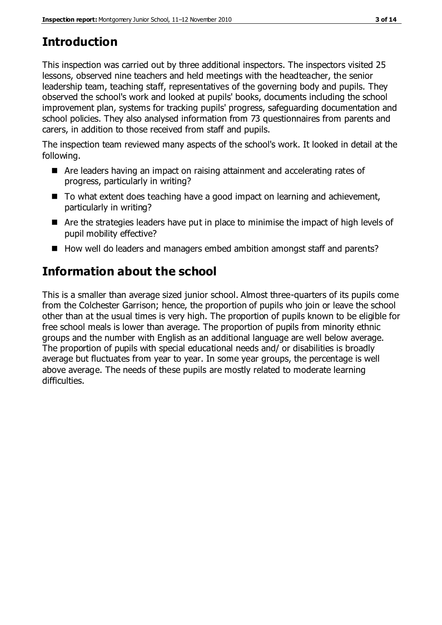# **Introduction**

This inspection was carried out by three additional inspectors. The inspectors visited 25 lessons, observed nine teachers and held meetings with the headteacher, the senior leadership team, teaching staff, representatives of the governing body and pupils. They observed the school's work and looked at pupils' books, documents including the school improvement plan, systems for tracking pupils' progress, safeguarding documentation and school policies. They also analysed information from 73 questionnaires from parents and carers, in addition to those received from staff and pupils.

The inspection team reviewed many aspects of the school's work. It looked in detail at the following.

- Are leaders having an impact on raising attainment and accelerating rates of progress, particularly in writing?
- To what extent does teaching have a good impact on learning and achievement, particularly in writing?
- Are the strategies leaders have put in place to minimise the impact of high levels of pupil mobility effective?
- How well do leaders and managers embed ambition amongst staff and parents?

# **Information about the school**

This is a smaller than average sized junior school. Almost three-quarters of its pupils come from the Colchester Garrison; hence, the proportion of pupils who join or leave the school other than at the usual times is very high. The proportion of pupils known to be eligible for free school meals is lower than average. The proportion of pupils from minority ethnic groups and the number with English as an additional language are well below average. The proportion of pupils with special educational needs and/ or disabilities is broadly average but fluctuates from year to year. In some year groups, the percentage is well above average. The needs of these pupils are mostly related to moderate learning difficulties.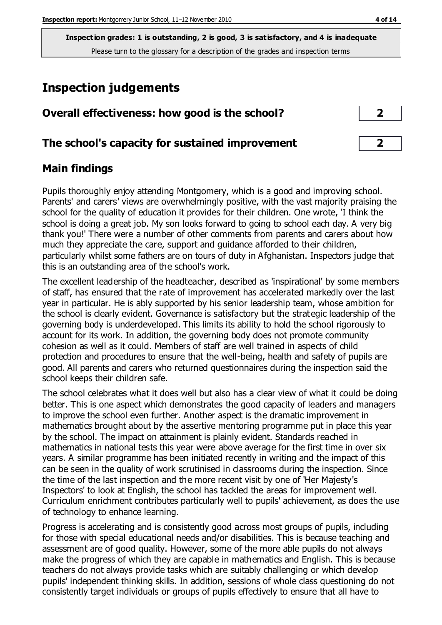# **Inspection judgements**

| Overall effectiveness: how good is the school?  | $\mathbf{2}$    |
|-------------------------------------------------|-----------------|
| The school's capacity for sustained improvement | $2 \quad \vert$ |

# **Main findings**

Pupils thoroughly enjoy attending Montgomery, which is a good and improving school. Parents' and carers' views are overwhelmingly positive, with the vast majority praising the school for the quality of education it provides for their children. One wrote, 'I think the school is doing a great job. My son looks forward to going to school each day. A very big thank you!' There were a number of other comments from parents and carers about how much they appreciate the care, support and guidance afforded to their children, particularly whilst some fathers are on tours of duty in Afghanistan. Inspectors judge that this is an outstanding area of the school's work.

The excellent leadership of the headteacher, described as 'inspirational' by some members of staff, has ensured that the rate of improvement has accelerated markedly over the last year in particular. He is ably supported by his senior leadership team, whose ambition for the school is clearly evident. Governance is satisfactory but the strategic leadership of the governing body is underdeveloped. This limits its ability to hold the school rigorously to account for its work. In addition, the governing body does not promote community cohesion as well as it could. Members of staff are well trained in aspects of child protection and procedures to ensure that the well-being, health and safety of pupils are good. All parents and carers who returned questionnaires during the inspection said the school keeps their children safe.

The school celebrates what it does well but also has a clear view of what it could be doing better. This is one aspect which demonstrates the good capacity of leaders and managers to improve the school even further. Another aspect is the dramatic improvement in mathematics brought about by the assertive mentoring programme put in place this year by the school. The impact on attainment is plainly evident. Standards reached in mathematics in national tests this year were above average for the first time in over six years. A similar programme has been initiated recently in writing and the impact of this can be seen in the quality of work scrutinised in classrooms during the inspection. Since the time of the last inspection and the more recent visit by one of 'Her Majesty's Inspectors' to look at English, the school has tackled the areas for improvement well. Curriculum enrichment contributes particularly well to pupils' achievement, as does the use of technology to enhance learning.

Progress is accelerating and is consistently good across most groups of pupils, including for those with special educational needs and/or disabilities. This is because teaching and assessment are of good quality. However, some of the more able pupils do not always make the progress of which they are capable in mathematics and English. This is because teachers do not always provide tasks which are suitably challenging or which develop pupils' independent thinking skills. In addition, sessions of whole class questioning do not consistently target individuals or groups of pupils effectively to ensure that all have to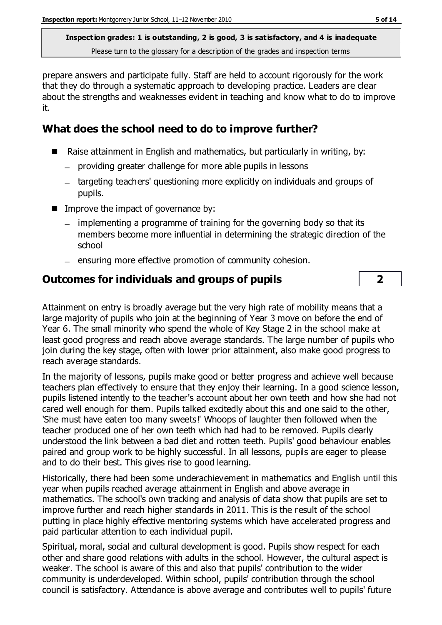prepare answers and participate fully. Staff are held to account rigorously for the work that they do through a systematic approach to developing practice. Leaders are clear about the strengths and weaknesses evident in teaching and know what to do to improve it.

# **What does the school need to do to improve further?**

- Raise attainment in English and mathematics, but particularly in writing, by:
	- providing greater challenge for more able pupils in lessons
	- targeting teachers' questioning more explicitly on individuals and groups of pupils.
- $\blacksquare$  Improve the impact of governance by:
	- implementing a programme of training for the governing body so that its members become more influential in determining the strategic direction of the school
	- ensuring more effective promotion of community cohesion.

### **Outcomes for individuals and groups of pupils 2**

Attainment on entry is broadly average but the very high rate of mobility means that a large majority of pupils who join at the beginning of Year 3 move on before the end of Year 6. The small minority who spend the whole of Key Stage 2 in the school make at least good progress and reach above average standards. The large number of pupils who join during the key stage, often with lower prior attainment, also make good progress to reach average standards.

In the majority of lessons, pupils make good or better progress and achieve well because teachers plan effectively to ensure that they enjoy their learning. In a good science lesson, pupils listened intently to the teacher's account about her own teeth and how she had not cared well enough for them. Pupils talked excitedly about this and one said to the other, 'She must have eaten too many sweets!' Whoops of laughter then followed when the teacher produced one of her own teeth which had had to be removed. Pupils clearly understood the link between a bad diet and rotten teeth. Pupils' good behaviour enables paired and group work to be highly successful. In all lessons, pupils are eager to please and to do their best. This gives rise to good learning.

Historically, there had been some underachievement in mathematics and English until this year when pupils reached average attainment in English and above average in mathematics. The school's own tracking and analysis of data show that pupils are set to improve further and reach higher standards in 2011. This is the result of the school putting in place highly effective mentoring systems which have accelerated progress and paid particular attention to each individual pupil.

Spiritual, moral, social and cultural development is good. Pupils show respect for each other and share good relations with adults in the school. However, the cultural aspect is weaker. The school is aware of this and also that pupils' contribution to the wider community is underdeveloped. Within school, pupils' contribution through the school council is satisfactory. Attendance is above average and contributes well to pupils' future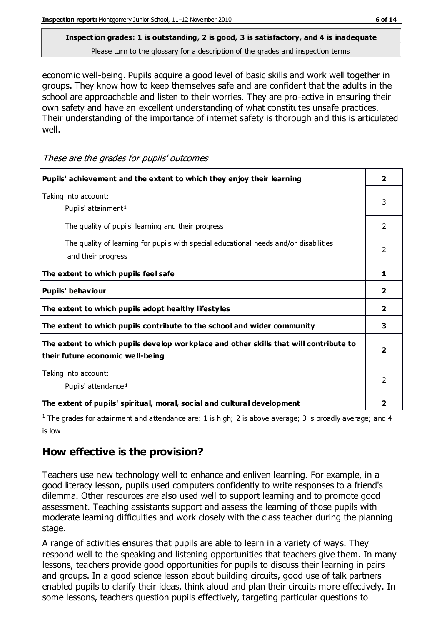# **Inspection grades: 1 is outstanding, 2 is good, 3 is satisfactory, and 4 is inadequate**

Please turn to the glossary for a description of the grades and inspection terms

economic well-being. Pupils acquire a good level of basic skills and work well together in groups. They know how to keep themselves safe and are confident that the adults in the school are approachable and listen to their worries. They are pro-active in ensuring their own safety and have an excellent understanding of what constitutes unsafe practices. Their understanding of the importance of internet safety is thorough and this is articulated well.

These are the grades for pupils' outcomes

| Pupils' achievement and the extent to which they enjoy their learning                                                     |                         |
|---------------------------------------------------------------------------------------------------------------------------|-------------------------|
| Taking into account:<br>Pupils' attainment <sup>1</sup>                                                                   |                         |
| The quality of pupils' learning and their progress                                                                        | $\mathcal{P}$           |
| The quality of learning for pupils with special educational needs and/or disabilities<br>and their progress               |                         |
| The extent to which pupils feel safe                                                                                      | 1                       |
| Pupils' behaviour                                                                                                         | 2                       |
| The extent to which pupils adopt healthy lifestyles                                                                       | $\overline{\mathbf{2}}$ |
| The extent to which pupils contribute to the school and wider community                                                   | 3                       |
| The extent to which pupils develop workplace and other skills that will contribute to<br>their future economic well-being |                         |
| Taking into account:<br>Pupils' attendance <sup>1</sup>                                                                   |                         |
| The extent of pupils' spiritual, moral, social and cultural development                                                   | 2                       |

<sup>1</sup> The grades for attainment and attendance are: 1 is high; 2 is above average; 3 is broadly average; and 4 is low

### **How effective is the provision?**

Teachers use new technology well to enhance and enliven learning. For example, in a good literacy lesson, pupils used computers confidently to write responses to a friend's dilemma. Other resources are also used well to support learning and to promote good assessment. Teaching assistants support and assess the learning of those pupils with moderate learning difficulties and work closely with the class teacher during the planning stage.

A range of activities ensures that pupils are able to learn in a variety of ways. They respond well to the speaking and listening opportunities that teachers give them. In many lessons, teachers provide good opportunities for pupils to discuss their learning in pairs and groups. In a good science lesson about building circuits, good use of talk partners enabled pupils to clarify their ideas, think aloud and plan their circuits more effectively. In some lessons, teachers question pupils effectively, targeting particular questions to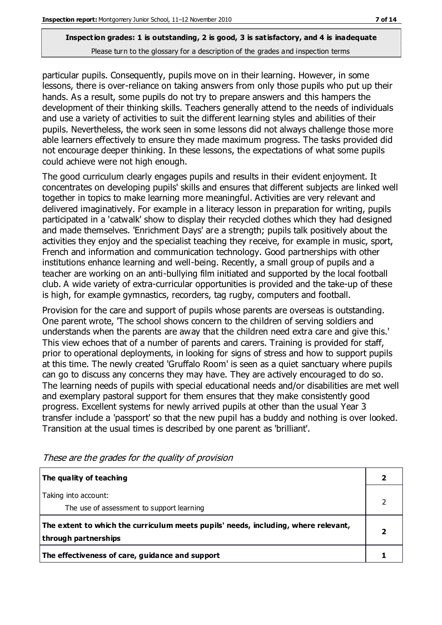particular pupils. Consequently, pupils move on in their learning. However, in some lessons, there is over-reliance on taking answers from only those pupils who put up their hands. As a result, some pupils do not try to prepare answers and this hampers the development of their thinking skills. Teachers generally attend to the needs of individuals and use a variety of activities to suit the different learning styles and abilities of their pupils. Nevertheless, the work seen in some lessons did not always challenge those more able learners effectively to ensure they made maximum progress. The tasks provided did not encourage deeper thinking. In these lessons, the expectations of what some pupils could achieve were not high enough.

The good curriculum clearly engages pupils and results in their evident enjoyment. It concentrates on developing pupils' skills and ensures that different subjects are linked well together in topics to make learning more meaningful. Activities are very relevant and delivered imaginatively. For example in a literacy lesson in preparation for writing, pupils participated in a 'catwalk' show to display their recycled clothes which they had designed and made themselves. 'Enrichment Days' are a strength; pupils talk positively about the activities they enjoy and the specialist teaching they receive, for example in music, sport, French and information and communication technology. Good partnerships with other institutions enhance learning and well-being. Recently, a small group of pupils and a teacher are working on an anti-bullying film initiated and supported by the local football club. A wide variety of extra-curricular opportunities is provided and the take-up of these is high, for example gymnastics, recorders, tag rugby, computers and football.

Provision for the care and support of pupils whose parents are overseas is outstanding. One parent wrote, 'The school shows concern to the children of serving soldiers and understands when the parents are away that the children need extra care and give this.' This view echoes that of a number of parents and carers. Training is provided for staff, prior to operational deployments, in looking for signs of stress and how to support pupils at this time. The newly created 'Gruffalo Room' is seen as a quiet sanctuary where pupils can go to discuss any concerns they may have. They are actively encouraged to do so. The learning needs of pupils with special educational needs and/or disabilities are met well and exemplary pastoral support for them ensures that they make consistently good progress. Excellent systems for newly arrived pupils at other than the usual Year 3 transfer include a 'passport' so that the new pupil has a buddy and nothing is over looked. Transition at the usual times is described by one parent as 'brilliant'.

| The quality of teaching                                                                                    |  |
|------------------------------------------------------------------------------------------------------------|--|
| Taking into account:<br>The use of assessment to support learning                                          |  |
| The extent to which the curriculum meets pupils' needs, including, where relevant,<br>through partnerships |  |
| The effectiveness of care, guidance and support                                                            |  |

These are the grades for the quality of provision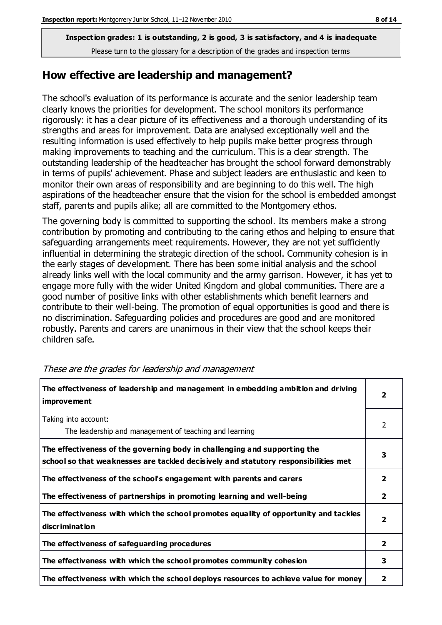### **How effective are leadership and management?**

The school's evaluation of its performance is accurate and the senior leadership team clearly knows the priorities for development. The school monitors its performance rigorously: it has a clear picture of its effectiveness and a thorough understanding of its strengths and areas for improvement. Data are analysed exceptionally well and the resulting information is used effectively to help pupils make better progress through making improvements to teaching and the curriculum. This is a clear strength. The outstanding leadership of the headteacher has brought the school forward demonstrably in terms of pupils' achievement. Phase and subject leaders are enthusiastic and keen to monitor their own areas of responsibility and are beginning to do this well. The high aspirations of the headteacher ensure that the vision for the school is embedded amongst staff, parents and pupils alike; all are committed to the Montgomery ethos.

The governing body is committed to supporting the school. Its members make a strong contribution by promoting and contributing to the caring ethos and helping to ensure that safeguarding arrangements meet requirements. However, they are not yet sufficiently influential in determining the strategic direction of the school. Community cohesion is in the early stages of development. There has been some initial analysis and the school already links well with the local community and the army garrison. However, it has yet to engage more fully with the wider United Kingdom and global communities. There are a good number of positive links with other establishments which benefit learners and contribute to their well-being. The promotion of equal opportunities is good and there is no discrimination. Safeguarding policies and procedures are good and are monitored robustly. Parents and carers are unanimous in their view that the school keeps their children safe.

| The effectiveness of leadership and management in embedding ambition and driving<br>improvement                                                                  |                         |
|------------------------------------------------------------------------------------------------------------------------------------------------------------------|-------------------------|
| Taking into account:<br>The leadership and management of teaching and learning                                                                                   | 2                       |
| The effectiveness of the governing body in challenging and supporting the<br>school so that weaknesses are tackled decisively and statutory responsibilities met | 3                       |
| The effectiveness of the school's engagement with parents and carers                                                                                             | 2                       |
| The effectiveness of partnerships in promoting learning and well-being                                                                                           | $\overline{2}$          |
| The effectiveness with which the school promotes equality of opportunity and tackles<br>discrimination                                                           | $\overline{\mathbf{2}}$ |
| The effectiveness of safeguarding procedures                                                                                                                     | $\overline{2}$          |
| The effectiveness with which the school promotes community cohesion                                                                                              | 3                       |
| The effectiveness with which the school deploys resources to achieve value for money                                                                             | 2                       |

#### These are the grades for leadership and management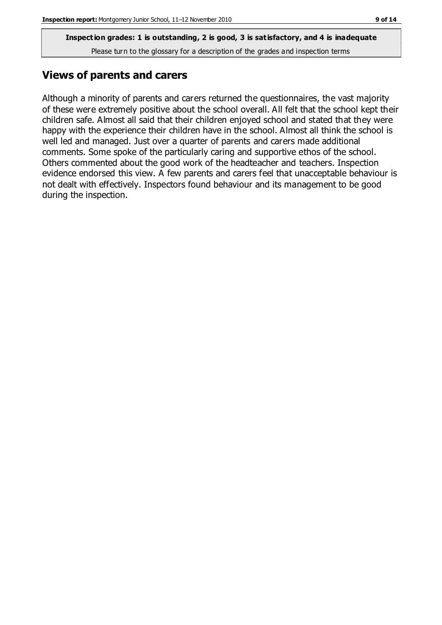# **Views of parents and carers**

Although a minority of parents and carers returned the questionnaires, the vast majority of these were extremely positive about the school overall. All felt that the school kept their children safe. Almost all said that their children enjoyed school and stated that they were happy with the experience their children have in the school. Almost all think the school is well led and managed. Just over a quarter of parents and carers made additional comments. Some spoke of the particularly caring and supportive ethos of the school. Others commented about the good work of the headteacher and teachers. Inspection evidence endorsed this view. A few parents and carers feel that unacceptable behaviour is not dealt with effectively. Inspectors found behaviour and its management to be good during the inspection.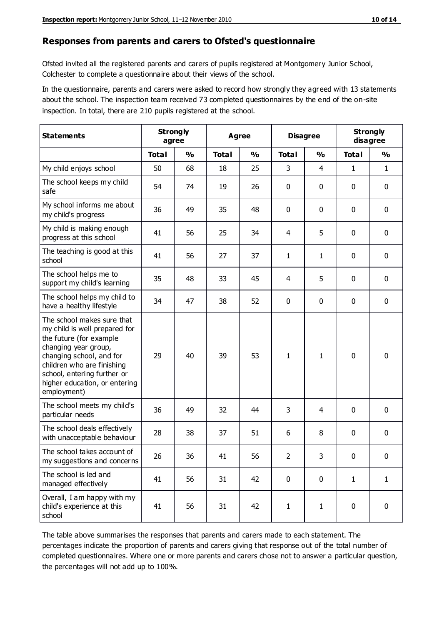#### **Responses from parents and carers to Ofsted's questionnaire**

Ofsted invited all the registered parents and carers of pupils registered at Montgomery Junior School, Colchester to complete a questionnaire about their views of the school.

In the questionnaire, parents and carers were asked to record how strongly they agreed with 13 statements about the school. The inspection team received 73 completed questionnaires by the end of the on-site inspection. In total, there are 210 pupils registered at the school.

| <b>Statements</b>                                                                                                                                                                                                                                       | <b>Strongly</b><br>agree |               | Agree        |               | <b>Disagree</b> |                | <b>Strongly</b><br>disagree |               |
|---------------------------------------------------------------------------------------------------------------------------------------------------------------------------------------------------------------------------------------------------------|--------------------------|---------------|--------------|---------------|-----------------|----------------|-----------------------------|---------------|
|                                                                                                                                                                                                                                                         | <b>Total</b>             | $\frac{0}{0}$ | <b>Total</b> | $\frac{0}{0}$ | <b>Total</b>    | $\frac{0}{0}$  | <b>Total</b>                | $\frac{1}{2}$ |
| My child enjoys school                                                                                                                                                                                                                                  | 50                       | 68            | 18           | 25            | 3               | $\overline{4}$ | 1                           | $\mathbf{1}$  |
| The school keeps my child<br>safe                                                                                                                                                                                                                       | 54                       | 74            | 19           | 26            | 0               | 0              | $\mathbf 0$                 | $\mathbf 0$   |
| My school informs me about<br>my child's progress                                                                                                                                                                                                       | 36                       | 49            | 35           | 48            | 0               | $\mathbf 0$    | $\mathbf 0$                 | $\mathbf 0$   |
| My child is making enough<br>progress at this school                                                                                                                                                                                                    | 41                       | 56            | 25           | 34            | 4               | 5              | 0                           | $\mathbf 0$   |
| The teaching is good at this<br>school                                                                                                                                                                                                                  | 41                       | 56            | 27           | 37            | 1               | $\mathbf{1}$   | $\mathbf 0$                 | $\mathbf 0$   |
| The school helps me to<br>support my child's learning                                                                                                                                                                                                   | 35                       | 48            | 33           | 45            | 4               | 5              | $\mathbf 0$                 | $\mathbf 0$   |
| The school helps my child to<br>have a healthy lifestyle                                                                                                                                                                                                | 34                       | 47            | 38           | 52            | 0               | $\mathbf 0$    | $\mathbf 0$                 | $\mathbf 0$   |
| The school makes sure that<br>my child is well prepared for<br>the future (for example<br>changing year group,<br>changing school, and for<br>children who are finishing<br>school, entering further or<br>higher education, or entering<br>employment) | 29                       | 40            | 39           | 53            | 1               | 1              | $\mathbf 0$                 | $\mathbf 0$   |
| The school meets my child's<br>particular needs                                                                                                                                                                                                         | 36                       | 49            | 32           | 44            | 3               | 4              | $\mathbf 0$                 | $\mathbf 0$   |
| The school deals effectively<br>with unacceptable behaviour                                                                                                                                                                                             | 28                       | 38            | 37           | 51            | 6               | 8              | $\mathbf 0$                 | 0             |
| The school takes account of<br>my suggestions and concerns                                                                                                                                                                                              | 26                       | 36            | 41           | 56            | $\overline{2}$  | 3              | 0                           | 0             |
| The school is led and<br>managed effectively                                                                                                                                                                                                            | 41                       | 56            | 31           | 42            | $\mathbf 0$     | $\mathbf 0$    | $\mathbf{1}$                | $\mathbf{1}$  |
| Overall, I am happy with my<br>child's experience at this<br>school                                                                                                                                                                                     | 41                       | 56            | 31           | 42            | $\mathbf{1}$    | $\mathbf{1}$   | $\mathbf 0$                 | $\mathbf 0$   |

The table above summarises the responses that parents and carers made to each statement. The percentages indicate the proportion of parents and carers giving that response out of the total number of completed questionnaires. Where one or more parents and carers chose not to answer a particular question, the percentages will not add up to 100%.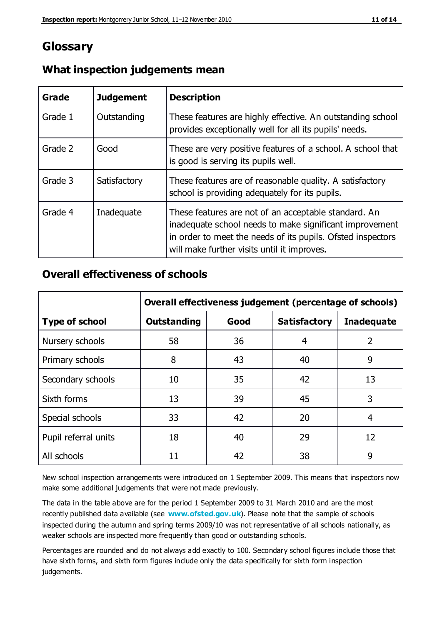# **Glossary**

| Grade   | <b>Judgement</b> | <b>Description</b>                                                                                                                                                                                                            |
|---------|------------------|-------------------------------------------------------------------------------------------------------------------------------------------------------------------------------------------------------------------------------|
| Grade 1 | Outstanding      | These features are highly effective. An outstanding school<br>provides exceptionally well for all its pupils' needs.                                                                                                          |
| Grade 2 | Good             | These are very positive features of a school. A school that<br>is good is serving its pupils well.                                                                                                                            |
| Grade 3 | Satisfactory     | These features are of reasonable quality. A satisfactory<br>school is providing adequately for its pupils.                                                                                                                    |
| Grade 4 | Inadequate       | These features are not of an acceptable standard. An<br>inadequate school needs to make significant improvement<br>in order to meet the needs of its pupils. Ofsted inspectors<br>will make further visits until it improves. |

# **What inspection judgements mean**

# **Overall effectiveness of schools**

|                       | Overall effectiveness judgement (percentage of schools) |      |                     |                   |
|-----------------------|---------------------------------------------------------|------|---------------------|-------------------|
| <b>Type of school</b> | <b>Outstanding</b>                                      | Good | <b>Satisfactory</b> | <b>Inadequate</b> |
| Nursery schools       | 58                                                      | 36   | 4                   | 2                 |
| Primary schools       | 8                                                       | 43   | 40                  | 9                 |
| Secondary schools     | 10                                                      | 35   | 42                  | 13                |
| Sixth forms           | 13                                                      | 39   | 45                  | 3                 |
| Special schools       | 33                                                      | 42   | 20                  | 4                 |
| Pupil referral units  | 18                                                      | 40   | 29                  | 12                |
| All schools           | 11                                                      | 42   | 38                  | 9                 |

New school inspection arrangements were introduced on 1 September 2009. This means that inspectors now make some additional judgements that were not made previously.

The data in the table above are for the period 1 September 2009 to 31 March 2010 and are the most recently published data available (see **[www.ofsted.gov.uk](http://www.ofsted.gov.uk/)**). Please note that the sample of schools inspected during the autumn and spring terms 2009/10 was not representative of all schools nationally, as weaker schools are inspected more frequently than good or outstanding schools.

Percentages are rounded and do not always add exactly to 100. Secondary school figures include those that have sixth forms, and sixth form figures include only the data specifically for sixth form inspection judgements.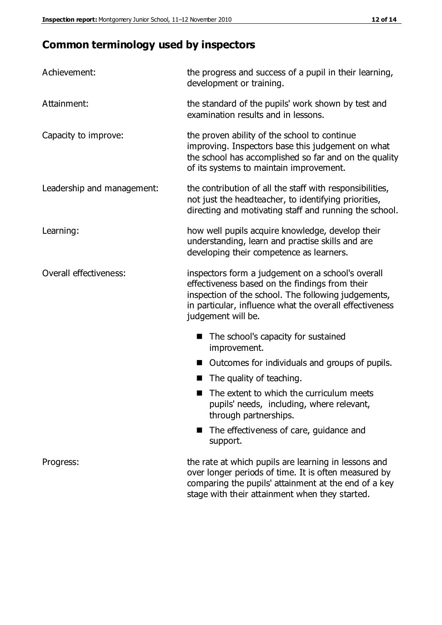# **Common terminology used by inspectors**

| Achievement:               | the progress and success of a pupil in their learning,<br>development or training.                                                                                                                                                          |  |  |
|----------------------------|---------------------------------------------------------------------------------------------------------------------------------------------------------------------------------------------------------------------------------------------|--|--|
| Attainment:                | the standard of the pupils' work shown by test and<br>examination results and in lessons.                                                                                                                                                   |  |  |
| Capacity to improve:       | the proven ability of the school to continue<br>improving. Inspectors base this judgement on what<br>the school has accomplished so far and on the quality<br>of its systems to maintain improvement.                                       |  |  |
| Leadership and management: | the contribution of all the staff with responsibilities,<br>not just the headteacher, to identifying priorities,<br>directing and motivating staff and running the school.                                                                  |  |  |
| Learning:                  | how well pupils acquire knowledge, develop their<br>understanding, learn and practise skills and are<br>developing their competence as learners.                                                                                            |  |  |
| Overall effectiveness:     | inspectors form a judgement on a school's overall<br>effectiveness based on the findings from their<br>inspection of the school. The following judgements,<br>in particular, influence what the overall effectiveness<br>judgement will be. |  |  |
|                            | The school's capacity for sustained<br>improvement.                                                                                                                                                                                         |  |  |
|                            | Outcomes for individuals and groups of pupils.                                                                                                                                                                                              |  |  |
|                            | The quality of teaching.                                                                                                                                                                                                                    |  |  |
|                            | The extent to which the curriculum meets<br>pupils' needs, including, where relevant,<br>through partnerships.                                                                                                                              |  |  |
|                            | The effectiveness of care, guidance and<br>support.                                                                                                                                                                                         |  |  |
| Progress:                  | the rate at which pupils are learning in lessons and<br>over longer periods of time. It is often measured by<br>comparing the pupils' attainment at the end of a key                                                                        |  |  |

stage with their attainment when they started.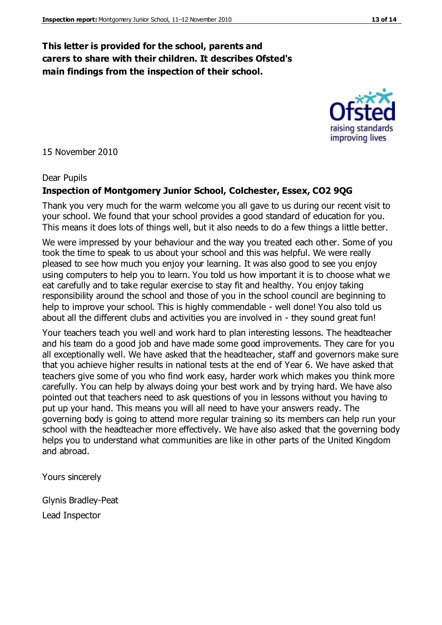### **This letter is provided for the school, parents and carers to share with their children. It describes Ofsted's main findings from the inspection of their school.**

15 November 2010

#### Dear Pupils

### **Inspection of Montgomery Junior School, Colchester, Essex, CO2 9QG**

Thank you very much for the warm welcome you all gave to us during our recent visit to your school. We found that your school provides a good standard of education for you. This means it does lots of things well, but it also needs to do a few things a little better.

We were impressed by your behaviour and the way you treated each other. Some of you took the time to speak to us about your school and this was helpful. We were really pleased to see how much you enjoy your learning. It was also good to see you enjoy using computers to help you to learn. You told us how important it is to choose what we eat carefully and to take regular exercise to stay fit and healthy. You enjoy taking responsibility around the school and those of you in the school council are beginning to help to improve your school. This is highly commendable - well done! You also told us about all the different clubs and activities you are involved in - they sound great fun!

Your teachers teach you well and work hard to plan interesting lessons. The headteacher and his team do a good job and have made some good improvements. They care for you all exceptionally well. We have asked that the headteacher, staff and governors make sure that you achieve higher results in national tests at the end of Year 6. We have asked that teachers give some of you who find work easy, harder work which makes you think more carefully. You can help by always doing your best work and by trying hard. We have also pointed out that teachers need to ask questions of you in lessons without you having to put up your hand. This means you will all need to have your answers ready. The governing body is going to attend more regular training so its members can help run your school with the headteacher more effectively. We have also asked that the governing body helps you to understand what communities are like in other parts of the United Kingdom and abroad.

Yours sincerely

Glynis Bradley-Peat Lead Inspector